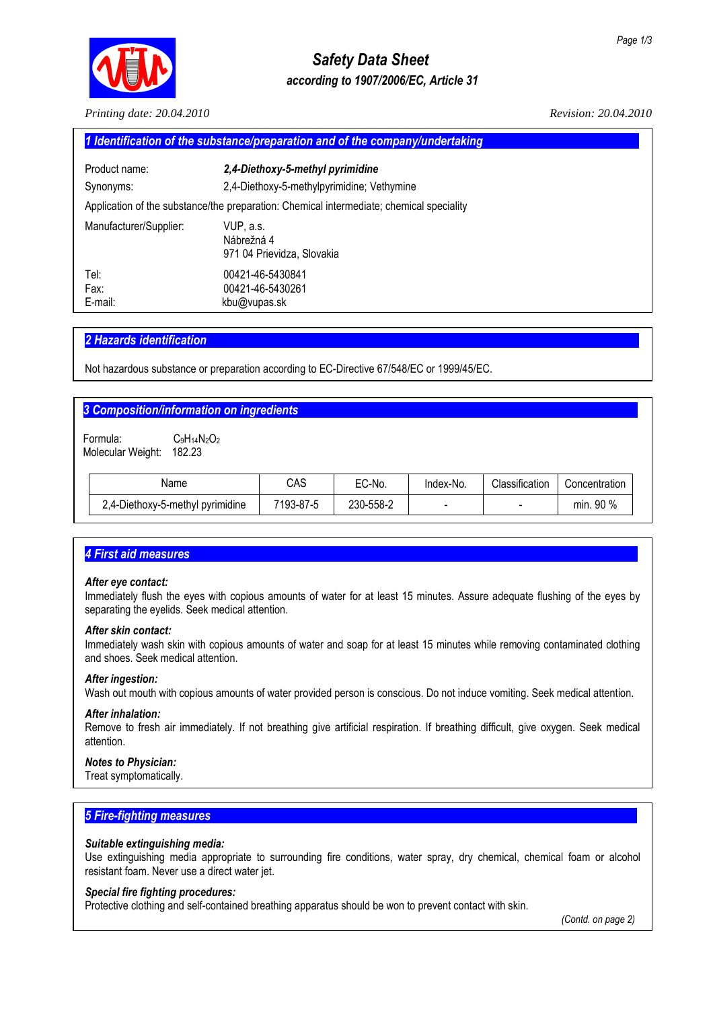

# *Safety Data Sheet according to 1907/2006/EC, Article 31*

*Printing date: 20.04.2010 Revision: 20.04.2010* 

| 1 Identification of the substance/preparation and of the company/undertaking             |                                                       |  |  |  |
|------------------------------------------------------------------------------------------|-------------------------------------------------------|--|--|--|
| Product name:                                                                            | 2,4-Diethoxy-5-methyl pyrimidine                      |  |  |  |
| Synonyms:                                                                                | 2,4-Diethoxy-5-methylpyrimidine; Vethymine            |  |  |  |
| Application of the substance/the preparation: Chemical intermediate; chemical speciality |                                                       |  |  |  |
| Manufacturer/Supplier:                                                                   | VUP. a.s.<br>Nábrežná 4<br>971 04 Prievidza, Slovakia |  |  |  |
| Tel:<br>Fax:<br>E-mail:                                                                  | 00421-46-5430841<br>00421-46-5430261<br>kbu@vupas.sk  |  |  |  |

# *2 Hazards identification................................................................................................................................................*

Not hazardous substance or preparation according to EC-Directive 67/548/EC or 1999/45/EC.

# **3 Composition/information on ingredients**

Formula: C<sub>9</sub>H<sub>14</sub>N<sub>2</sub>O<sub>2</sub> Molecular Weight: 182.23

| Name                             | CAS       | EC-No.    | Index-No.                | Classification | Concentration |
|----------------------------------|-----------|-----------|--------------------------|----------------|---------------|
| 2,4-Diethoxy-5-methyl pyrimidine | 7193-87-5 | 230-558-2 | $\overline{\phantom{0}}$ | -              | 90%<br>min.   |

# **4 First aid measures**

## *After eye contact:*

Immediately flush the eyes with copious amounts of water for at least 15 minutes. Assure adequate flushing of the eyes by separating the eyelids. Seek medical attention.

## *After skin contact:*

Immediately wash skin with copious amounts of water and soap for at least 15 minutes while removing contaminated clothing and shoes. Seek medical attention.

## *After ingestion:*

Wash out mouth with copious amounts of water provided person is conscious. Do not induce vomiting. Seek medical attention.

## *After inhalation:*

Remove to fresh air immediately. If not breathing give artificial respiration. If breathing difficult, give oxygen. Seek medical attention.

## *Notes to Physician:*

Treat symptomatically.

# **5 Fire-fighting measures**

## *Suitable extinguishing media:*

Use extinguishing media appropriate to surrounding fire conditions, water spray, dry chemical, chemical foam or alcohol resistant foam. Never use a direct water jet.

# *Special fire fighting procedures:*

Protective clothing and self-contained breathing apparatus should be won to prevent contact with skin.

 *(Contd. on page 2)*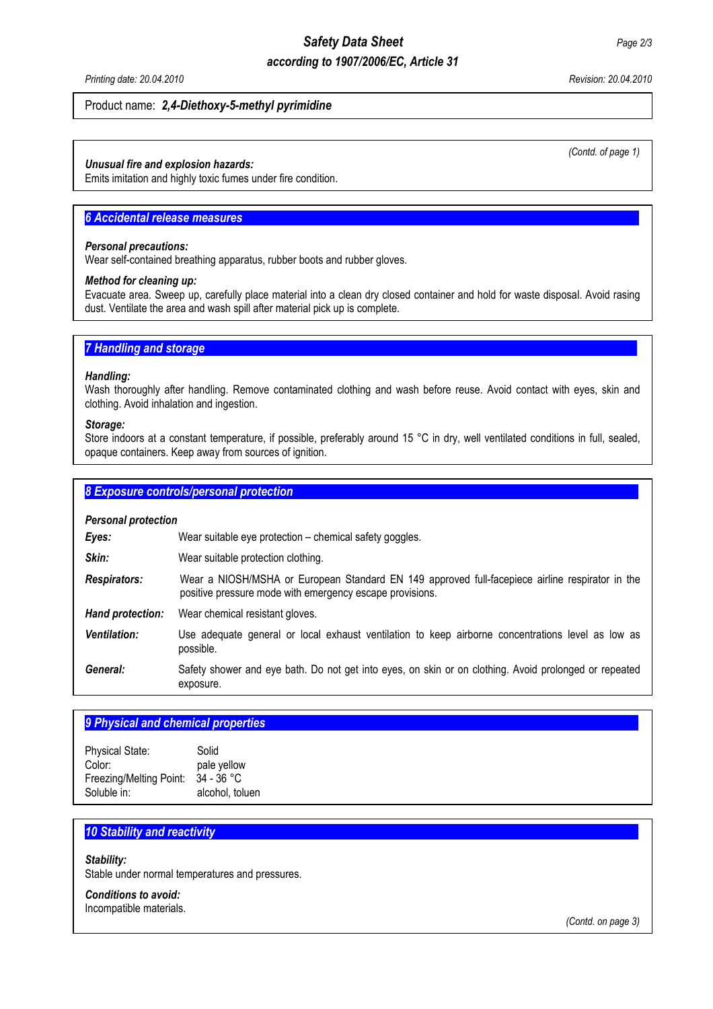# *Safety Data Sheet Page 2/3*

# *according to 1907/2006/EC, Article 31*

*Printing date: 20.04.2010 Revision: 20.04.2010* 

### Product name: *2,4-Diethoxy-5-methyl pyrimidine*

#### *Unusual fire and explosion hazards:*

Emits imitation and highly toxic fumes under fire condition.

# **6 Accidental release measures**

#### *Personal precautions:*

Wear self-contained breathing apparatus, rubber boots and rubber gloves.

# *Method for cleaning up:*

Evacuate area. Sweep up, carefully place material into a clean dry closed container and hold for waste disposal. Avoid rasing dust. Ventilate the area and wash spill after material pick up is complete.

# **7 Handling and storage**

#### *Handling:*

Wash thoroughly after handling. Remove contaminated clothing and wash before reuse. Avoid contact with eyes, skin and clothing. Avoid inhalation and ingestion.

#### *Storage:*

Store indoors at a constant temperature, if possible, preferably around 15 °C in dry, well ventilated conditions in full, sealed, opaque containers. Keep away from sources of ignition.

## **8 Exposure controls/personal protection**

| <b>Personal protection</b> |                                                                                                                                                             |  |  |
|----------------------------|-------------------------------------------------------------------------------------------------------------------------------------------------------------|--|--|
| Eyes:                      | Wear suitable eye protection - chemical safety goggles.                                                                                                     |  |  |
| Skin:                      | Wear suitable protection clothing.                                                                                                                          |  |  |
| <b>Respirators:</b>        | Wear a NIOSH/MSHA or European Standard EN 149 approved full-facepiece airline respirator in the<br>positive pressure mode with emergency escape provisions. |  |  |
| Hand protection:           | Wear chemical resistant gloves.                                                                                                                             |  |  |
| <b>Ventilation:</b>        | Use adequate general or local exhaust ventilation to keep airborne concentrations level as low as<br>possible.                                              |  |  |
| General:                   | Safety shower and eye bath. Do not get into eyes, on skin or on clothing. Avoid prolonged or repeated<br>exposure.                                          |  |  |

# **9 Physical and chemical properties**

| <b>Physical State:</b>  | Solid           |
|-------------------------|-----------------|
| Color:                  | pale yellow     |
| Freezing/Melting Point: | $34 - 36 °C$    |
| Soluble in:             | alcohol, toluen |

# **10 Stability and reactivity**

*Stability:* 

Stable under normal temperatures and pressures.

*Conditions to avoid:*  Incompatible materials. *(Contd. of page 1)*

 *(Contd. on page 3)*